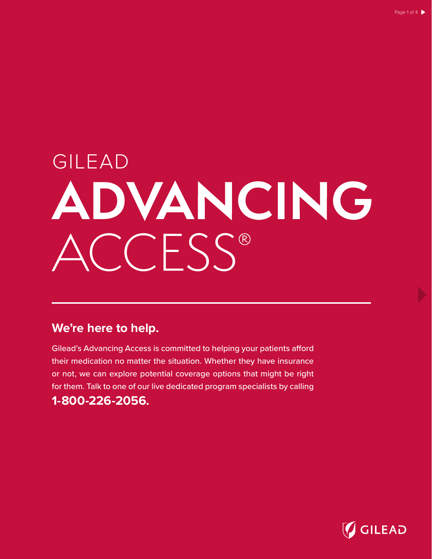# GILEAD ADVANCING  $CCFSS^{\circ}$

## **We're here to help.**

Gilead's Advancing Access is committed to helping your patients afford their medication no matter the situation. Whether they have insurance or not, we can explore potential coverage options that might be right for them. Talk to one of our live dedicated program specialists by calling **1-800-226-2056.**

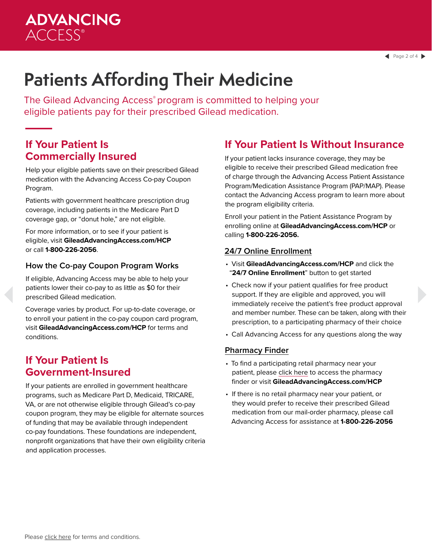# **ADVANCING ACCESS®**

# **Patients Affording Their Medicine**

The Gilead Advancing Access® program is committed to helping your eligible patients pay for their prescribed Gilead medication.

### **If Your Patient Is Commercially Insured**

Help your eligible patients save on their prescribed Gilead medication with the Advancing Access Co-pay Coupon Program.

Patients with government healthcare prescription drug coverage, including patients in the Medicare Part D coverage gap, or "donut hole," are not eligible.

For more information, or to see if your patient is eligible, visit **GileadAdvancingAccess.com/HCP**  or call **1-800-226-2056**.

### **How the Co-pay Coupon Program Works**

If eligible, Advancing Access may be able to help your patients lower their co-pay to as little as \$0 for their prescribed Gilead medication.

Coverage varies by product. For up-to-date coverage, or to enroll your patient in the co-pay coupon card program, visit **GileadAdvancingAccess.com/HCP** for terms and conditions.

### **If Your Patient Is Government-Insured**

If your patients are enrolled in government healthcare programs, such as Medicare Part D, Medicaid, TRICARE, VA, or are not otherwise eligible through Gilead's co-pay coupon program, they may be eligible for alternate sources of funding that may be available through independent co-pay foundations. These foundations are independent, nonprofit organizations that have their own eligibility criteria and application processes.

### **If Your Patient Is Without Insurance**

If your patient lacks insurance coverage, they may be eligible to receive their prescribed Gilead medication free of charge through the Advancing Access Patient Assistance Program/Medication Assistance Program (PAP/MAP). Please contact the Advancing Access program to learn more about the program eligibility criteria.

Enroll your patient in the Patient Assistance Program by enrolling online at **GileadAdvancingAccess.com/HCP** or calling **1-800-226-2056.**

### **24/7 Online Enrollment**

- Visit **GileadAdvancingAccess.com/HCP** and click the "**24/7 Online Enrollment**" button to get started
- Check now if your patient qualifies for free product support. If they are eligible and approved, you will immediately receive the patient's free product approval and member number. These can be taken, along with their prescription, to a participating pharmacy of their choice
- Call Advancing Access for any questions along the way

#### **Pharmacy Finder**

- To find a participating retail pharmacy near your patient, please click here to access the pharmacy finder or visit **GileadAdvancingAccess.com/HCP**
- If there is no retail pharmacy near your patient, or they would prefer to receive their prescribed Gilead medication from our mail-order pharmacy, please call Advancing Access for assistance at **1-800-226-2056**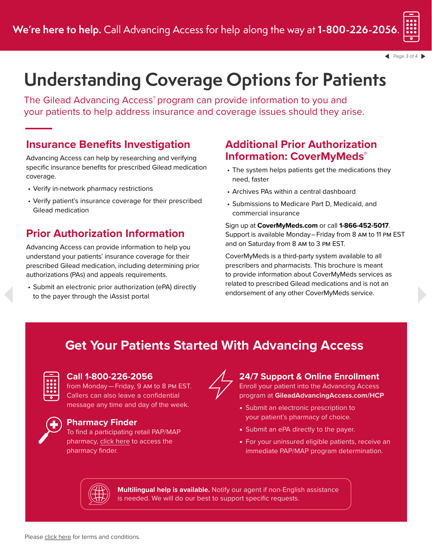

 $\triangle$  Page 3 of 4

# **Understanding Coverage Options for Patients**

The Gilead Advancing Access® program can provide information to you and your patients to help address insurance and coverage issues should they arise.

### **Insurance Benefits Investigation**

Advancing Access can help by researching and verifying specific insurance benefits for prescribed Gilead medication coverage.

- Verify in-network pharmacy restrictions
- Verify patient's insurance coverage for their prescribed Gilead medication

## **Prior Authorization Information**

Advancing Access can provide information to help you understand your patients' insurance coverage for their prescribed Gilead medication, including determining prior authorizations (PAs) and appeals requirements.

• Submit an electronic prior authorization (ePA) directly to the payer through the iAssist portal

### **Additional Prior Authorization Information: CoverMyMeds®**

- The system helps patients get the medications they need, faster
- Archives PAs within a central dashboard
- Submissions to Medicare Part D, Medicaid, and commercial insurance

Sign up at **CoverMyMeds.com** or call **1-866-452-5017**. Support is available Monday – Friday from 8 am to 11 pm EST and on Saturday from 8 am to 3 pm EST.

CoverMyMeds is a third-party system available to all prescribers and pharmacists. This brochure is meant to provide information about CoverMyMeds services as related to prescribed Gilead medications and is not an endorsement of any other CoverMyMeds service.

# **Get Your Patients Started With Advancing Access**



### **Call 1-800-226-2056**

from Monday — Friday, 9 am to 8 pm EST. Callers can also leave a confidential message any time and day of the week.



### **Pharmacy Finder**

To find a participating retail PAP/MAP pharmacy, click here to access the pharmacy finder.



# **24/7 Support & Online Enrollment**

Enroll your patient into the Advancing Access program at **GileadAdvancingAccess.com/HCP**

- Submit an electronic prescription to your patient's pharmacy of choice.
- Submit an ePA directly to the payer.
- For your uninsured eligible patients, receive an immediate PAP/MAP program determination.



**Multilingual help is available.** Notify our agent if non-English assistance is needed. We will do our best to support specific requests.